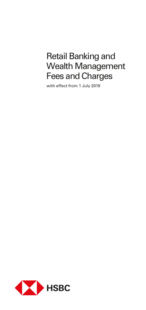# Retail Banking and Wealth Management Fees and Charges

with effect from 1 July 2019

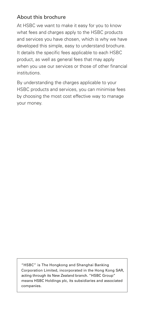### About this brochure

At HSBC we want to make it easy for you to know what fees and charges apply to the HSBC products and services you have chosen, which is why we have developed this simple, easy to understand brochure. It details the specific fees applicable to each HSBC product, as well as general fees that may apply when you use our services or those of other financial institutions.

By understanding the charges applicable to your HSBC products and services, you can minimise fees by choosing the most cost effective way to manage your money.

"HSBC" is The Hongkong and Shanghai Banking Corporation Limited, incorporated in the Hong Kong SAR, acting through its New Zealand branch. "HSBC Group" means HSBC Holdings plc, its subsidiaries and associated companies.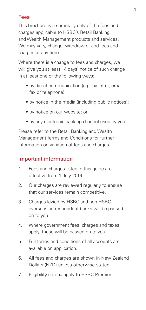### Fees

This brochure is a summary only of the fees and charges applicable to HSBC's Retail Banking and Wealth Management products and services. We may vary, change, withdraw or add fees and charges at any time.

Where there is a change to fees and charges, we will give you at least 14 days' notice of such change in at least one of the following ways:

- by direct communication (e.g. by letter, email, fax or telephone);
- by notice in the media (including public notices);
- by notice on our website; or
- by any electronic banking channel used by you.

Please refer to the Retail Banking and Wealth Management Terms and Conditions for further information on variation of fees and charges.

### Important information

- 1. Fees and charges listed in this guide are effective from 1 July 2019.
- 2. Our charges are reviewed regularly to ensure that our services remain competitive.
- 3. Charges levied by HSBC and non-HSBC overseas correspondent banks will be passed on to you.
- 4. Where government fees, charges and taxes apply, these will be passed on to you.
- 5. Full terms and conditions of all accounts are available on application.
- 6. All fees and charges are shown in New Zealand Dollars (NZD) unless otherwise stated.
- 7. Eligibility criteria apply to HSBC Premier.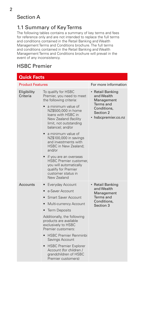### Section A

### 1.1 Summary of Key Terms

The following tables contains a summary of key terms and fees for reference only and are not intended to replace the full terms and conditions contained in the Retail Banking and Wealth Management Terms and Conditions brochure. The full terms and conditions contained in the Retail Banking and Wealth Management Terms and Conditions brochure will prevail in the event of any inconsistency.

## HSBC Premier

| <b>Quick Facts</b>      |                                                                                                                                                                                                                                                                                                                                                                                                                                                                                    |                                                                                                            |  |
|-------------------------|------------------------------------------------------------------------------------------------------------------------------------------------------------------------------------------------------------------------------------------------------------------------------------------------------------------------------------------------------------------------------------------------------------------------------------------------------------------------------------|------------------------------------------------------------------------------------------------------------|--|
| <b>Product Features</b> |                                                                                                                                                                                                                                                                                                                                                                                                                                                                                    | For more information                                                                                       |  |
| Eligibility<br>Criteria | To qualify for HSBC<br>Premier, you need to meet<br>the following criteria:<br>a minimum value of<br>NZ\$500,000 in home<br>loans with HSBC in<br>New Zealand (facility<br>limit, not outstanding<br>balance); and/or<br>a minimum value of<br>NZ\$100,000 in savings<br>and investments with<br>HSBC in New Zealand;<br>and/or<br>• if you are an overseas<br><b>HSBC Premier customer,</b><br>you will automatically<br>qualify for Premier<br>customer status in<br>New Zealand | • Retail Banking<br>and Wealth<br>Management<br>Terms and<br>Conditions,<br>Section 2<br>hsbcpremier.co.nz |  |
| Accounts                | Everyday Account<br>$\bullet$<br>e-Saver Account<br>$\bullet$<br><b>Smart Saver Account</b><br>Multi-currency Account<br>$\bullet$<br><b>Term Deposits</b><br>$\bullet$<br>Additionally, the following<br>products are available<br>exclusively to HSBC<br>Premier customers:<br><b>HSBC Premier Renminbi</b><br>$\bullet$<br>Savings Account<br><b>HSBC Premier Explorer</b><br>$\bullet$<br>Account (for children /<br>arandchildren of HSBC<br>Premier customers)               | • Retail Banking<br>and Wealth<br>Management<br>Terms and<br>Conditions,<br>Section 3                      |  |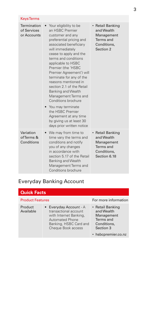| <b>Keys Terms</b>                         |                                                                                                                                                                                                                                                                                                                                                                                                                                                                                                                                                             |                                                                                          |
|-------------------------------------------|-------------------------------------------------------------------------------------------------------------------------------------------------------------------------------------------------------------------------------------------------------------------------------------------------------------------------------------------------------------------------------------------------------------------------------------------------------------------------------------------------------------------------------------------------------------|------------------------------------------------------------------------------------------|
| Termination<br>of Services<br>or Accounts | Your eligibility to be<br>an HSBC Premier<br>customer and any<br>preferential pricing and<br>associated beneficiary<br>will immediately<br>cease to apply and the<br>terms and conditions<br>applicable to HSBC<br>Premier (the 'HSBC<br>Premier Agreement') will<br>terminate for any of the<br>reasons mentioned in<br>section 2.1 of the Retail<br><b>Banking and Wealth</b><br>Management Terms and<br>Conditions brochure<br>• You may terminate<br>the HSBC Premier<br>Agreement at any time<br>by giving us at least 30<br>days prior written notice | • Retail Banking<br>and Wealth<br>Management<br>Terms and<br>Conditions.<br>Section 2    |
| Variation<br>of Terms &<br>Conditions     | • We may from time to<br>time vary the terms and<br>conditions and notify<br>you of any changes<br>in accordance with<br>section 5.17 of the Retail<br>Banking and Wealth<br>Management Terms and<br>Conditions brochure                                                                                                                                                                                                                                                                                                                                    | • Retail Banking<br>and Wealth<br>Management<br>Terms and<br>Conditions.<br>Section 6.18 |

# Everyday Banking Account

| <b>Quick Facts</b>      |                                                                                                                                                     |                                                                                       |  |
|-------------------------|-----------------------------------------------------------------------------------------------------------------------------------------------------|---------------------------------------------------------------------------------------|--|
| <b>Product Features</b> |                                                                                                                                                     | For more information                                                                  |  |
| Product<br>Available    | • Everyday Account - A<br>transactional account<br>with Internet Banking,<br><b>Automated Phone</b><br>Banking, HSBC Card and<br>Cheque Book access | • Retail Banking<br>and Wealth<br>Management<br>Terms and<br>Conditions.<br>Section 3 |  |
|                         |                                                                                                                                                     | • hsbcpremier.co.nz                                                                   |  |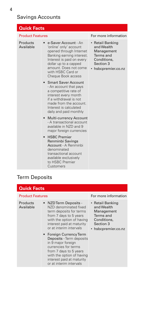## Savings Accounts

| <b>Quick Facts</b>      |                                                                                                                                                                                                                                                                            |                                                                                                            |
|-------------------------|----------------------------------------------------------------------------------------------------------------------------------------------------------------------------------------------------------------------------------------------------------------------------|------------------------------------------------------------------------------------------------------------|
| <b>Product Features</b> |                                                                                                                                                                                                                                                                            | For more information                                                                                       |
| Products<br>Available   | e-Saver Account - An<br>'online' only' account<br>opened through Internet<br>Banking earning interest.<br>Interest is paid on every<br>dollar up to a capped<br>amount. Does not come<br>with HSBC Card or<br>Cheque Book access                                           | • Retail Banking<br>and Wealth<br>Management<br>Terms and<br>Conditions,<br>Section 3<br>hsbcpremier.co.nz |
|                         | • Smart Saver Account<br>- An account that pays<br>a competitive rate of<br>interest every month<br>if a withdrawal is not<br>made from the account.<br>Interest is calculated<br>daily and paid monthly                                                                   |                                                                                                            |
|                         | • Multi-currency Account<br>- A transactional account<br>available in NZD and 9<br>major foreign currencies<br>• HSBC Premier<br>Renminbi Savings<br>Account - A Renminbi<br>denominated<br>transactional account<br>available exclusively<br>to HSBC Premier<br>Customers |                                                                                                            |

# Term Deposits

| <b>Quick Facts</b>      |                                                                                                                                                                                                                                                                                                                                                                                                              |                                                                                                            |  |
|-------------------------|--------------------------------------------------------------------------------------------------------------------------------------------------------------------------------------------------------------------------------------------------------------------------------------------------------------------------------------------------------------------------------------------------------------|------------------------------------------------------------------------------------------------------------|--|
| <b>Product Features</b> |                                                                                                                                                                                                                                                                                                                                                                                                              | For more information                                                                                       |  |
| Products<br>Available   | • NZD Term Deposits -<br>N7D denominated fixed<br>term deposits for terms<br>from 7 days to 5 years<br>with the option of having<br>interest paid at maturity<br>or at interim intervals<br>• Foreign Currency Term<br>Deposits - Term deposits<br>in 9 major foreign<br>currencies for terms<br>from 7 days to 5 years<br>with the option of having<br>interest paid at maturity<br>or at interim intervals | • Retail Banking<br>and Wealth<br>Management<br>Terms and<br>Conditions,<br>Section 3<br>hsbcpremier.co.nz |  |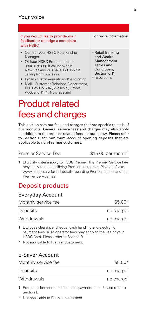#### If you would like to provide your feedback or to lodge a complaint with HSBC.

- Contact your HSBC Relationship Manager
- 24-hour HSBC Premier hotline 0800 028 088 if calling within New Zealand or +64 9 368 8557 if calling from overseas.
- Email customerrelations@hsbc.co.nz
- Mail Customer Relations Department, P.O. Box No.5947, Wellesley Street, Auckland 1141, New Zealand

# Product related fees and charges

This section sets out fees and charges that are specific to each of our products. General service fees and charges may also apply in addition to the product related fees set out below. Please refer to Section B for minimum account opening deposits that are applicable to non-Premier customers.

#### Premier Service Fee \$15.00 per month<sup>1</sup>

1 Eligibility criteria apply to HSBC Premier. The Premier Service Fee may apply to non-qualifying Premier customers. Please refer to www.hsbc.co.nz for full details regarding Premier criteria and the Premier Service Fee.

# Deposit products

### Everyday Account

| Monthly service fee | $$5.00*$               |
|---------------------|------------------------|
| Deposits            | no charge <sup>1</sup> |
| Withdrawals         | no charge <sup>1</sup> |

1 Excludes clearance, cheque, cash handling and electronic payment fees. ATM operator fees may apply to the use of your HSBC Card. Please refer to Section B.

\* Not applicable to Premier customers.

### E-Saver Account

| Monthly service fee | $$5.00*$               |
|---------------------|------------------------|
| Deposits            | no charge <sup>1</sup> |
| Withdrawals         | no charge <sup>1</sup> |

- 1 Excludes clearance and electronic payment fees. Please refer to Section B.
- Not applicable to Premier customers.

For more information

- Retail Banking and Wealth Management Terms and Conditions, Section 6.11
- hsbc.co.nz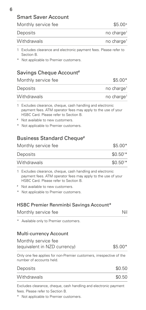6

| Monthly service fee                                                                                                                                                                                                                               | $$5.00*$               |
|---------------------------------------------------------------------------------------------------------------------------------------------------------------------------------------------------------------------------------------------------|------------------------|
| Deposits                                                                                                                                                                                                                                          | no charge <sup>1</sup> |
| Withdrawals                                                                                                                                                                                                                                       | no charge <sup>1</sup> |
| Excludes clearance and electronic payment fees. Please refer to<br>1<br>Section B.<br>Not applicable to Premier customers.                                                                                                                        |                        |
| Savings Cheque Account#                                                                                                                                                                                                                           |                        |
| Monthly service fee                                                                                                                                                                                                                               | $$5.00*$               |
| Deposits                                                                                                                                                                                                                                          | no charge <sup>1</sup> |
| Withdrawals                                                                                                                                                                                                                                       | no charge <sup>1</sup> |
| Excludes clearance, cheque, cash handling and electronic<br>1<br>payment fees. ATM operator fees may apply to the use of your<br>HSBC Card. Please refer to Section B.<br>Not available to new customers.<br>Not applicable to Premier customers. |                        |
| <b>Business Standard Cheque#</b>                                                                                                                                                                                                                  |                        |
| Monthly service fee                                                                                                                                                                                                                               | $$5.00*$               |
| Deposits                                                                                                                                                                                                                                          | $$0.501*$              |
| Withdrawals                                                                                                                                                                                                                                       | \$0.50 <sup>1</sup>    |
| 1 Excludes clearance, cheque, cash handling and electronic<br>payment fees. ATM operator fees may apply to the use of your<br>HSBC Card. Please refer to Section B.<br>Not available to new customers.<br>Not applicable to Premier customers.    |                        |
| <b>HSBC Premier Renminbi Savings Account*</b>                                                                                                                                                                                                     |                        |
| Monthly service fee                                                                                                                                                                                                                               | Nil                    |
| Available only to Premier customers.                                                                                                                                                                                                              |                        |
| Multi-currency Account                                                                                                                                                                                                                            |                        |
| Monthly service fee<br>(equivalent in NZD currency)                                                                                                                                                                                               | $$5.00*$               |
| Only one fee applies for non-Premier customers, irrespective of the<br>number of accounts held.                                                                                                                                                   |                        |
| Deposits                                                                                                                                                                                                                                          | \$0.50                 |
| Withdrawals                                                                                                                                                                                                                                       | \$0.50                 |
| Excludes clearance, cheque, cash handling and electronic payment                                                                                                                                                                                  |                        |

fees. Please refer to Section B.

\* Not applicable to Premier customers.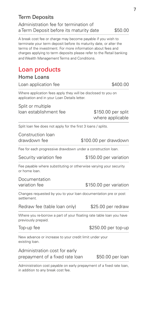| Term Deposits                           |         |
|-----------------------------------------|---------|
| Administration fee for termination of   |         |
| a Term Deposit before its maturity date | \$50.00 |

A break cost fee or charge may become payable if you wish to terminate your term deposit before its maturity date, or alter the terms of the investment. For more information about fees and charges applying to term deposits please refer to the Retail banking and Wealth Management Terms and Conditions.

# Loan products

| Loan application fee |  |
|----------------------|--|
|                      |  |

Where application fees apply they will be disclosed to you on application and in your Loan Details letter.

Split or multiple loan establishment fee \$150.00 per split

where applicable

 $A$ 00.00

Split loan fee does not apply for the first 3 loans / splits.

Construction loan drawdown fee  $$100.00$  per drawdown

Fee for each progressive drawdown under a construction loan.

Security variation fee \$150.00 per variation

Fee payable where substituting or otherwise varying your security or home loan.

Documentation variation fee  $$150.00$  per variation

Changes requested by you to your loan documentation pre or post settlement.

Redraw fee (table loan only) \$25.00 per redraw

Where you re-borrow a part of your floating rate table loan you have previously prepaid.

#### Top-up fee  $$250.00$  per top-up

New advance or increase to your credit limit under your existing loan.

Administration cost for early prepayment of a fixed rate loan \$50.00 per loan

Administration cost payable on early prepayment of a fixed rate loan, in addition to any break cost fee.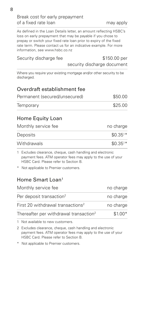#### Break cost for early prepayment of a fixed rate loan may apply

As defined in the Loan Details letter, an amount reflecting HSBC's loss on early prepayment that may be payable if you chose to prepay or switch your fixed rate loan prior to expiry of the fixed rate term. Please contact us for an indicative example. For more information, see www.hsbc.co.nz

#### Security discharge fee  $$150.00$  per

security discharge document

Where you require your existing mortgage and/or other security to be discharged.

### Overdraft establishment fee

| Permanent (secured/unsecured) | \$50.00 |
|-------------------------------|---------|
| Temporary                     | \$25.00 |

### Home Equity Loan

| Monthly service fee | no charge |
|---------------------|-----------|
| Deposits            | $$0.351*$ |
| Withdrawals         | $$0.351*$ |

1 Excludes clearance, cheque, cash handling and electronic payment fees. ATM operator fees may apply to the use of your HSBC Card. Please refer to Section B.

\* Not applicable to Premier customers.

### Home Smart Loan1

| Monthly service fee                                | no charge |
|----------------------------------------------------|-----------|
| Per deposit transaction <sup>2</sup>               | no charge |
| First 20 withdrawal transactions <sup>2</sup>      | no charge |
| Thereafter per withdrawal transaction <sup>2</sup> | $$1.00*$  |

1 Not available to new customers.

2 Excludes clearance, cheque, cash handling and electronic payment fees. ATM operator fees may apply to the use of your HSBC Card. Please refer to Section B.

\* Not applicable to Premier customers.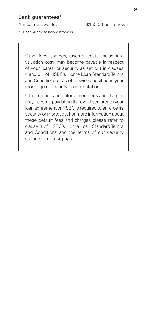#### Bank guarantees\*

Not available to new customers.

Other fees, charges, taxes or costs (including a valuation cost) may become payable in respect of your loan(s) or security as set out in clauses 4 and 5.1 of HSBC's Home Loan Standard Terms and Conditions or as otherwise specified in your mortgage or security documentation.

Other default and enforcement fees and charges may become payable in the event you breach your loan agreement or HSBC is required to enforce its security or mortgage. For more information about these default fees and charges please refer to clause 4 of HSBC's Home Loan Standard Terms and Conditions and the terms of our security document or mortgage.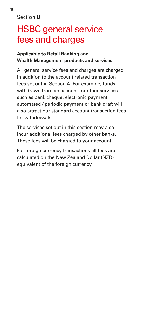Section B

# HSBC general service fees and charges

### **Applicable to Retail Banking and Wealth Management products and services.**

All general service fees and charges are charged in addition to the account related transaction fees set out in Section A. For example, funds withdrawn from an account for other services such as bank cheque, electronic payment, automated / periodic payment or bank draft will also attract our standard account transaction fees for withdrawals.

The services set out in this section may also incur additional fees charged by other banks. These fees will be charged to your account.

For foreign currency transactions all fees are calculated on the New Zealand Dollar (NZD) equivalent of the foreign currency.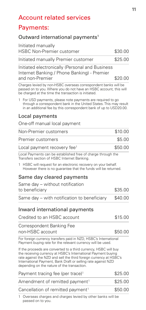## Payments:

### Outward international payments<sup>1</sup>

| Initiated manually<br><b>HSBC Non-Premier customer</b>                                         | \$30.00 |
|------------------------------------------------------------------------------------------------|---------|
| Initiated manually Premier customer                                                            | \$25.00 |
| Initiated electronically (Personal and Business<br>Internet Banking / Phone Banking) - Premier |         |
| and non-Premier                                                                                | \$20.00 |

Charges levied by non-HSBC overseas correspondent banks will be passed on to you. Where you do not have an HSBC account, this will be charged at the time the transaction is initiated.

1 For USD payments, please note payments are required to go through a correspondent bank in the United States. This may result in an additional fee by this correspondent bank of up to USD20.00.

### Local payments

#### One-off manual local payment

| Non-Premier customers                   | \$10.00 |
|-----------------------------------------|---------|
| Premier customers                       | \$5.00  |
| Local payment recovery fee <sup>1</sup> | \$50.00 |

Local Payments can be established free of charge through the Transfers section of HSBC Internet Banking.

1 HSBC will request for an electronic recovery on your behalf. However there is no guarantee that the funds will be returned.

### Same day cleared payments

| Same day - without notification             |         |  |
|---------------------------------------------|---------|--|
| to beneficiary                              | \$35.00 |  |
| Same day – with notification to beneficiary | \$40.00 |  |

#### Inward international payments

| Credited to an HSBC account                                                                                                    | \$15.00 |
|--------------------------------------------------------------------------------------------------------------------------------|---------|
| Correspondent Banking Fee<br>non-HSBC account                                                                                  | \$50.00 |
| For foreign currency transfers paid in NZD, HSBC's International                                                               |         |
| Payment buying rate for the relevant currency will be used.<br>If the proceeds are converted to a third currency HSBC will buy |         |

If the proceeds are converted to a third currency, HSBC will buy the receiving currency at HSBC's International Payment buying rate against the NZD and sell the third foreign currency at HSBC's International Payment, Bank Draft or selling rate against NZD depending on the nature of the transaction.

| Payment tracing fee (per trace) <sup>1</sup>  | \$25.00 |  |
|-----------------------------------------------|---------|--|
| Amendment of remitted payment <sup>1</sup>    | \$25.00 |  |
| Cancellation of remitted payment <sup>1</sup> | \$50.00 |  |

1 Overseas charges and charges levied by other banks will be passed on to you.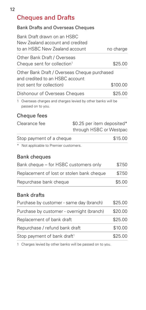# Cheques and Drafts

#### Bank Drafts and Overseas Cheques

| Bank Draft drawn on an HSBC      |           |
|----------------------------------|-----------|
| New Zealand account and credited |           |
| to an HSBC New Zealand account   | no charge |
| Other Bank Draft / Overseas      |           |

Cheque sent for collection<sup>1</sup>  $$25.00$ 

Other Bank Draft / Overseas Cheque purchased and credited to an HSBC account  $($ not sent for collection $)$   $$100.00$ Dishonour of Overseas Cheques \$25.00

1 Overseas charges and charges levied by other banks will be passed on to you.

### Cheque fees

|                          | through HSBC or Westpac<br>\$15.00 |
|--------------------------|------------------------------------|
| Stop payment of a cheque |                                    |

\* Not applicable to Premier customers.

### Bank cheques

| Bank cheque - for HSBC customers only     | \$7.50 |
|-------------------------------------------|--------|
| Replacement of lost or stolen bank cheque | \$7.50 |
| Repurchase bank cheque                    | \$5.00 |

### Bank drafts

| Purchase by customer - same day (branch)  | \$25.00 |
|-------------------------------------------|---------|
| Purchase by customer - overnight (branch) | \$20.00 |
| Replacement of bank draft                 | \$25.00 |
| Repurchase / refund bank draft            | \$10.00 |
| Stop payment of bank draft <sup>1</sup>   | \$25.00 |

1 Charges levied by other banks will be passed on to you.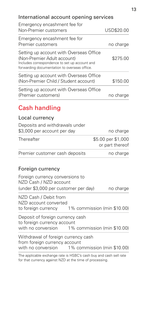## International account opening services

| Emergency encashment fee for<br>Non-Premier customers                                                                                                                   | USD\$20.00 |
|-------------------------------------------------------------------------------------------------------------------------------------------------------------------------|------------|
| Emergency encashment fee for<br>Premier customers                                                                                                                       | no charge  |
| Setting up account with Overseas Office<br>(Non-Premier Adult account)<br>Includes correspondence to set up account and<br>forwarding documentation to overseas office. | \$275.00   |
| Setting up account with Overseas Office<br>(Non-Premier Child / Student account)                                                                                        | \$150.00   |
| Setting up account with Overseas Office<br>(Premier customers)                                                                                                          | no charge  |

# Cash handling

### Local currency

| Deposits and withdrawals under |                                       |
|--------------------------------|---------------------------------------|
| \$3,000 per account per day    | no charge                             |
| <b>Thereafter</b>              | \$5.00 per \$1,000<br>or part thereof |
| Premier customer cash deposits | no charge                             |

### Foreign currency

| Foreign currency conversions to<br>NZD Cash / NZD account                                                              |  |           |
|------------------------------------------------------------------------------------------------------------------------|--|-----------|
| (under \$3,000 per customer per day)                                                                                   |  | no charge |
| NZD Cash / Debit from<br>NZD account converted<br>to foreign currency 1% commission (min \$10.00)                      |  |           |
| Deposit of foreign currency cash<br>to foreign currency account<br>with no conversion 1% commission (min \$10.00)      |  |           |
| Withdrawal of foreign currency cash<br>from foreign currency account<br>with no conversion 1% commission (min \$10.00) |  |           |
| The englished evidence rate is HCDC's seek but cand seek and rate                                                      |  |           |

The applicable exchange rate is HSBC's cash buy and cash sell rate for that currency against NZD at the time of processing.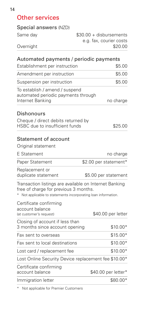# Other services

| Automated nayments / neriodic nayments |                          |
|----------------------------------------|--------------------------|
| Overnight                              | \$20.00                  |
|                                        | e.g. fax, courier costs  |
| Same day                               | $$30.00 + disbursements$ |
| Special answers (NZD)                  |                          |

| atomatca paymento / penoaio payment<br>Establishment per instruction                                                                                            | \$5.00                |
|-----------------------------------------------------------------------------------------------------------------------------------------------------------------|-----------------------|
| Amendment per instruction                                                                                                                                       | \$5.00                |
| Suspension per instruction                                                                                                                                      | \$5.00                |
| To establish / amend / suspend<br>automated periodic payments through<br>Internet Banking                                                                       | no charge             |
| Dishonours                                                                                                                                                      |                       |
| Cheque / direct debits returned by<br>HSBC due to insufficient funds                                                                                            | \$25.00               |
| <b>Statement of account</b>                                                                                                                                     |                       |
| Original statement                                                                                                                                              |                       |
| E Statement                                                                                                                                                     | no charge             |
| Paper Statement                                                                                                                                                 | \$2.00 per statement* |
| Replacement or<br>duplicate statement                                                                                                                           | \$5.00 per statement  |
| Transaction listings are available on Internet Banking<br>free of charge for previous 3 months.<br>Not applicable to statements incorporating loan information. |                       |
| Certificate confirming<br>account balance<br>(at customer's request)                                                                                            | \$40.00 per letter    |
| Closing of account if less than<br>3 months since account opening                                                                                               | $$10.00*$             |
| Fax sent to overseas                                                                                                                                            | $$15.00*$             |
| Fax sent to local destinations                                                                                                                                  | $$10.00*$             |
| Lost card / replacement fee                                                                                                                                     | \$10.00*              |
| Lost Online Security Device replacement fee \$10.00*                                                                                                            |                       |
| Certificate confirming<br>account balance                                                                                                                       | \$40.00 per letter*   |

Immigration letter \$80.00\*

\* Not applicable for Premier Customers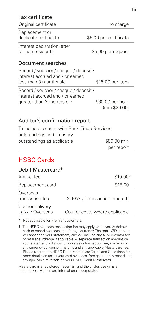### Tax certificate

| Original certificate                                                                                   | no charge                         |
|--------------------------------------------------------------------------------------------------------|-----------------------------------|
| Replacement or<br>duplicate certificate                                                                | \$5.00 per certificate            |
| Interest declaration letter<br>for non-residents                                                       | \$5.00 per request                |
| Document searches                                                                                      |                                   |
| Record / voucher / cheque / deposit /<br>interest accrued and / or earned<br>less than 3 months old    | \$15.00 per item                  |
| Record / voucher / cheque / deposit /<br>interest accrued and / or earned<br>greater than 3 months old | \$60.00 per hour<br>(min \$20.00) |

### Auditor's confirmation report

To include account with Bank, Trade Services outstandings and Treasury outstandings as applicable  $$80.00$  min per report

## HSBC Cards

#### Debit Mastercard®

| Annual fee                           | $$10.00*$                                |
|--------------------------------------|------------------------------------------|
| Replacement card                     | \$15.00                                  |
| Overseas<br>transaction fee          | 2.10% of transaction amount <sup>1</sup> |
| Courier delivery<br>in NZ / Overseas | Courier costs where applicable           |

\* Not applicable for Premier customers.

1 The HSBC overseas transaction fee may apply when you withdraw cash or spend overseas or in foreign currency. The total NZD amount will appear on your statement, and will include any ATM operator fee or retailer surcharge if applicable. A separate transaction amount on your statement will show this overseas transaction fee, made up of any currency conversion margins and any applicable Mastercard fee. Please refer to the HSBC Debit Mastercard Terms and Conditions for more details on using your card overseas, foreign currency spend and any applicable reversals on your HSBC Debit Mastercard.

Mastercard is a registered trademark and the circles design is a trademark of Mastercard International Incorporated.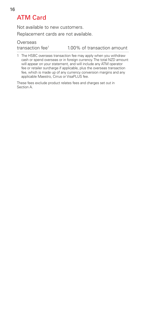# ATM Card

Not available to new customers. Replacement cards are not available.

**Overseas** 

transaction fee<sup>1</sup> 1.00% of transaction amount

1 The HSBC overseas transaction fee may apply when you withdraw cash or spend overseas or in foreign currency. The total NZD amount will appear on your statement, and will include any ATM operator fee or retailer surcharge if applicable, plus the overseas transaction fee, which is made up of any currency conversion margins and any applicable Maestro, Cirrus or VisaPLUS fee.

These fees exclude product relates fees and charges set out in Section A.